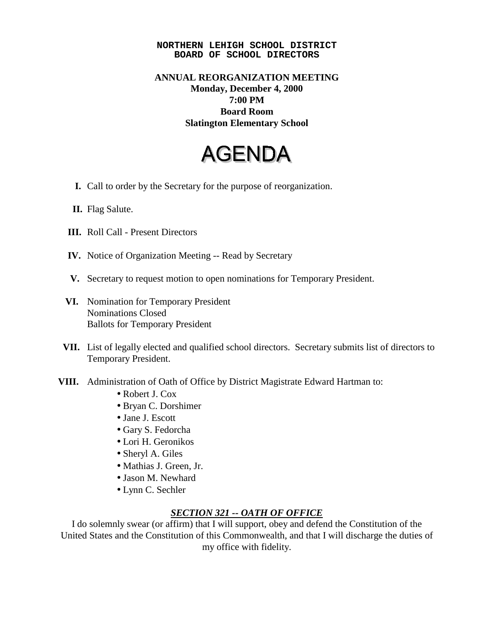## **NORTHERN LEHIGH SCHOOL DISTRICT BOARD OF SCHOOL DIRECTORS**

## **ANNUAL REORGANIZATION MEETING Monday, December 4, 2000 7:00 PM Board Room Slatington Elementary School**

## **AGENDA**

- **I.** Call to order by the Secretary for the purpose of reorganization.
- **II.** Flag Salute.
- **III.** Roll Call Present Directors
- **IV.** Notice of Organization Meeting -- Read by Secretary
- **V.** Secretary to request motion to open nominations for Temporary President.
- **VI.** Nomination for Temporary President Nominations Closed Ballots for Temporary President
- **VII.** List of legally elected and qualified school directors. Secretary submits list of directors to Temporary President.
- **VIII.** Administration of Oath of Office by District Magistrate Edward Hartman to:
	- Robert J. Cox
	- Bryan C. Dorshimer
	- Jane J. Escott
	- Gary S. Fedorcha
	- Lori H. Geronikos
	- Sheryl A. Giles
	- Mathias J. Green, Jr.
	- Jason M. Newhard
	- Lynn C. Sechler

## *SECTION 321 -- OATH OF OFFICE*

I do solemnly swear (or affirm) that I will support, obey and defend the Constitution of the United States and the Constitution of this Commonwealth, and that I will discharge the duties of my office with fidelity.